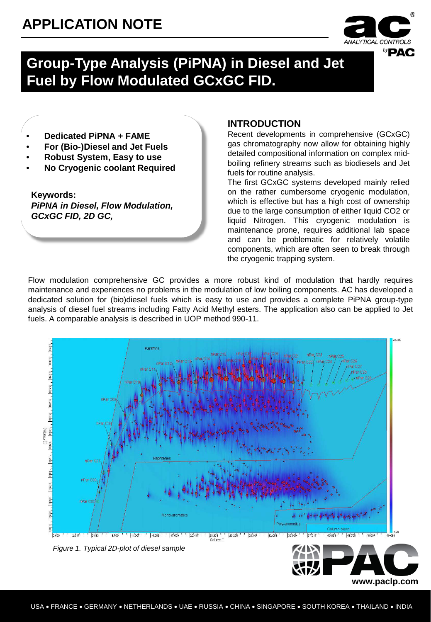### **APPLICATION NOTE**



**www.paclp.com**

### **Group-Type Analysis (PiPNA) in Diesel and Jet Fuel by Flow Modulated GCxGC FID.**

- **Dedicated PiPNA + FAME**
- **For (Bio-)Diesel and Jet Fuels**
- **Robust System, Easy to use**
- **No Cryogenic coolant Required**

**Keywords:** *PiPNA in Diesel, Flow Modulation, GCxGC FID, 2D GC,* 

### **INTRODUCTION**

Recent developments in comprehensive (GCxGC) gas chromatography now allow for obtaining highly detailed compositional information on complex midboiling refinery streams such as biodiesels and Jet fuels for routine analysis.

The first GCxGC systems developed mainly relied on the rather cumbersome cryogenic modulation, which is effective but has a high cost of ownership due to the large consumption of either liquid CO2 or liquid Nitrogen. This cryogenic modulation is maintenance prone, requires additional lab space and can be problematic for relatively volatile components, which are often seen to break through the cryogenic trapping system.

Flow modulation comprehensive GC provides a more robust kind of modulation that hardly requires maintenance and experiences no problems in the modulation of low boiling components. AC has developed a dedicated solution for (bio)diesel fuels which is easy to use and provides a complete PiPNA group-type analysis of diesel fuel streams including Fatty Acid Methyl esters. The application also can be applied to Jet fuels. A comparable analysis is described in UOP method 990-11.

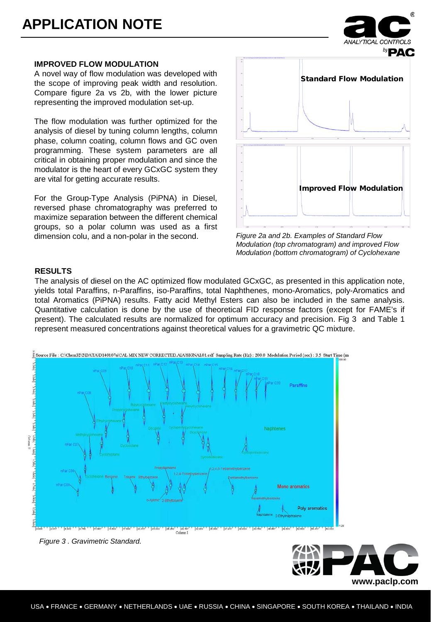#### **IMPROVED FLOW MODULATION**

A novel way of flow modulation was developed with the scope of improving peak width and resolution. Compare figure 2a vs 2b, with the lower picture representing the improved modulation set-up.

The flow modulation was further optimized for the analysis of diesel by tuning column lengths, column phase, column coating, column flows and GC oven programming. These system parameters are all critical in obtaining proper modulation and since the modulator is the heart of every GCxGC system they are vital for getting accurate results.

For the Group-Type Analysis (PiPNA) in Diesel, reversed phase chromatography was preferred to maximize separation between the different chemical groups, so a polar column was used as a first dimension colu, and a non-polar in the second.



*Figure 2a and 2b. Examples of Standard Flow Modulation (top chromatogram) and improved Flow Modulation (bottom chromatogram) of Cyclohexane*

#### **RESULTS**

The analysis of diesel on the AC optimized flow modulated GCxGC, as presented in this application note, yields total Paraffins, n-Paraffins, iso-Paraffins, total Naphthenes, mono-Aromatics, poly-Aromatics and total Aromatics (PiPNA) results. Fatty acid Methyl Esters can also be included in the same analysis. Quantitative calculation is done by the use of theoretical FID response factors (except for FAME's if present). The calculated results are normalized for optimum accuracy and precision. Fig 3 and Table 1 represent measured concentrations against theoretical values for a gravimetric QC mixture.



|slob ' ||absb ' ||slabo' ||alsbo' ||slsbo'

*Figure 3 . Gravimetric Standard.*

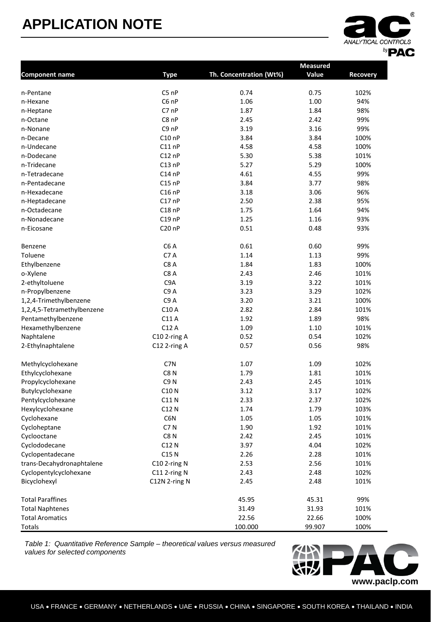## **APPLICATION NOTE**



|                            |                    |                         | <b>Measured</b> |                 |
|----------------------------|--------------------|-------------------------|-----------------|-----------------|
| <b>Component name</b>      | <b>Type</b>        | Th. Concentration (Wt%) | Value           | <b>Recovery</b> |
| n-Pentane                  | $C5$ nP            | 0.74                    | 0.75            | 102%            |
| n-Hexane                   | C6 nP              | 1.06                    | 1.00            | 94%             |
| n-Heptane                  | C7 nP              | 1.87                    | 1.84            | 98%             |
| n-Octane                   | C8 nP              | 2.45                    | 2.42            | 99%             |
| n-Nonane                   | C9 nP              | 3.19                    | 3.16            | 99%             |
| n-Decane                   | C10nP              | 3.84                    | 3.84            | 100%            |
| n-Undecane                 | $C11$ nP           | 4.58                    | 4.58            | 100%            |
| n-Dodecane                 | $C12$ nP           | 5.30                    | 5.38            | 101%            |
| n-Tridecane                | C13nP              | 5.27                    | 5.29            | 100%            |
| n-Tetradecane              | $C14$ nP           | 4.61                    | 4.55            | 99%             |
| n-Pentadecane              | $C15$ nP           | 3.84                    | 3.77            | 98%             |
| n-Hexadecane               | $C16$ nP           | 3.18                    | 3.06            | 96%             |
| n-Heptadecane              | C17nP              | 2.50                    | 2.38            | 95%             |
| n-Octadecane               | $C18$ nP           | 1.75                    | 1.64            | 94%             |
| n-Nonadecane               | C19nP              | 1.25                    | 1.16            | 93%             |
| n-Eicosane                 | C <sub>20</sub> nP | 0.51                    | 0.48            | 93%             |
|                            |                    |                         |                 |                 |
| Benzene                    | C <sub>6</sub> A   | 0.61                    | 0.60            | 99%             |
| Toluene                    | C7A                | 1.14                    | 1.13            | 99%             |
| Ethylbenzene               | C8A                | 1.84                    | 1.83            | 100%            |
| o-Xylene                   | C8A                | 2.43                    | 2.46            | 101%            |
| 2-ethyltoluene             | C <sub>9</sub> A   | 3.19                    | 3.22            | 101%            |
| n-Propylbenzene            | C <sub>9</sub> A   | 3.23                    | 3.29            | 102%            |
| 1,2,4-Trimethylbenzene     | C <sub>9</sub> A   | 3.20                    | 3.21            | 100%            |
| 1,2,4,5-Tetramethylbenzene | C10 A              | 2.82                    | 2.84            | 101%            |
| Pentamethylbenzene         | C11 A              | 1.92                    | 1.89            | 98%             |
| Hexamethylbenzene          | C12 A              | 1.09                    | 1.10            | 101%            |
| Naphtalene                 | C10 2-ring A       | 0.52                    | 0.54            | 102%            |
| 2-Ethylnaphtalene          | C12 2-ring A       | 0.57                    | 0.56            | 98%             |
| Methylcyclohexane          | C7N                | 1.07                    | 1.09            | 102%            |
| Ethylcyclohexane           | C8 <sub>N</sub>    | 1.79                    | 1.81            | 101%            |
| Propylcyclohexane          | C9 <sub>N</sub>    | 2.43                    | 2.45            | 101%            |
| Butylcyclohexane           | C10 N              | 3.12                    | 3.17            | 102%            |
| Pentylcyclohexane          | C11 N              | 2.33                    | 2.37            | 102%            |
| Hexylcyclohexane           | C12 N              | 1.74                    | 1.79            | 103%            |
| Cyclohexane                | C6N                | 1.05                    | 1.05            | 101%            |
| Cycloheptane               | C7N                | 1.90                    | 1.92            | 101%            |
| Cyclooctane                | C8N                | 2.42                    | 2.45            | 101%            |
| Cyclododecane              | C12 N              | 3.97                    | 4.04            | 102%            |
| Cyclopentadecane           | C15 N              | 2.26                    | 2.28            | 101%            |
| trans-Decahydronaphtalene  | C10 2-ring N       | 2.53                    | 2.56            | 101%            |
| Cyclopentylcyclohexane     | $C11$ 2-ring N     | 2.43                    | 2.48            | 102%            |
| Bicyclohexyl               | C12N 2-ring N      | 2.45                    | 2.48            | 101%            |
| <b>Total Paraffines</b>    |                    | 45.95                   | 45.31           | 99%             |
| <b>Total Naphtenes</b>     |                    | 31.49                   | 31.93           | 101%            |
| <b>Total Aromatics</b>     |                    | 22.56                   | 22.66           | 100%            |
| <b>Totals</b>              |                    | 100.000                 | 99.907          | 100%            |

*Table 1: Quantitative Reference Sample – theoretical values versus measured values for selected components*

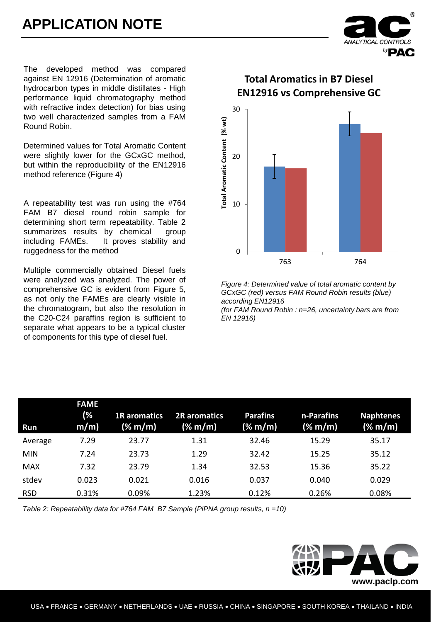

The developed method was compared against EN 12916 (Determination of aromatic hydrocarbon types in middle distillates - High performance liquid chromatography method with refractive index detection) for bias using two well characterized samples from a FAM Round Robin.

Determined values for Total Aromatic Content were slightly lower for the GCxGC method, but within the reproducibility of the EN12916 method reference (Figure 4)

A repeatability test was run using the #764 FAM B7 diesel round robin sample for determining short term repeatability. Table 2 summarizes results by chemical group including FAMEs. It proves stability and ruggedness for the method

Multiple commercially obtained Diesel fuels were analyzed was analyzed. The power of comprehensive GC is evident from Figure 5, as not only the FAMEs are clearly visible in the chromatogram, but also the resolution in the C20-C24 paraffins region is sufficient to separate what appears to be a typical cluster of components for this type of diesel fuel.

### **Total Aromatics in B7 Diesel EN12916 vs Comprehensive GC**



*Figure 4: Determined value of total aromatic content by GCxGC (red) versus FAM Round Robin results (blue) according EN12916* 

*(for FAM Round Robin : n=26, uncertainty bars are from EN 12916)*

| <b>Run</b> | <b>FAME</b><br>(%<br>$m/m$ ) | <b>1R</b> aromatics<br>(% m/m) | <b>2R</b> aromatics<br>(% m/m) | <b>Parafins</b><br>(% m/m) | n-Parafins<br>(% m/m) | <b>Naphtenes</b><br>$(\% \text{ m/m})$ |
|------------|------------------------------|--------------------------------|--------------------------------|----------------------------|-----------------------|----------------------------------------|
| Average    | 7.29                         | 23.77                          | 1.31                           | 32.46                      | 15.29                 | 35.17                                  |
| <b>MIN</b> | 7.24                         | 23.73                          | 1.29                           | 32.42                      | 15.25                 | 35.12                                  |
| <b>MAX</b> | 7.32                         | 23.79                          | 1.34                           | 32.53                      | 15.36                 | 35.22                                  |
| stdev      | 0.023                        | 0.021                          | 0.016                          | 0.037                      | 0.040                 | 0.029                                  |
| <b>RSD</b> | 0.31%                        | 0.09%                          | 1.23%                          | 0.12%                      | 0.26%                 | 0.08%                                  |

*Table 2: Repeatability data for #764 FAM B7 Sample (PiPNA group results, n =10)*